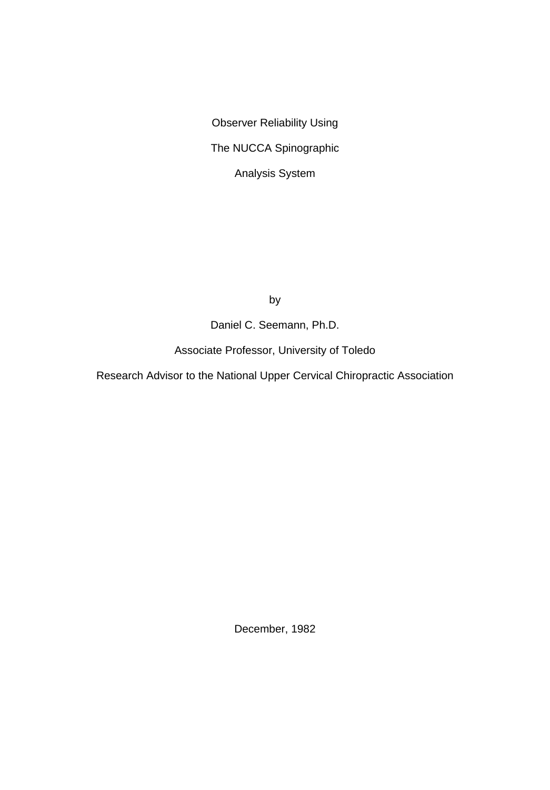Observer Reliability Using The NUCCA Spinographic Analysis System

by

Daniel C. Seemann, Ph.D.

Associate Professor, University of Toledo

Research Advisor to the National Upper Cervical Chiropractic Association

December, 1982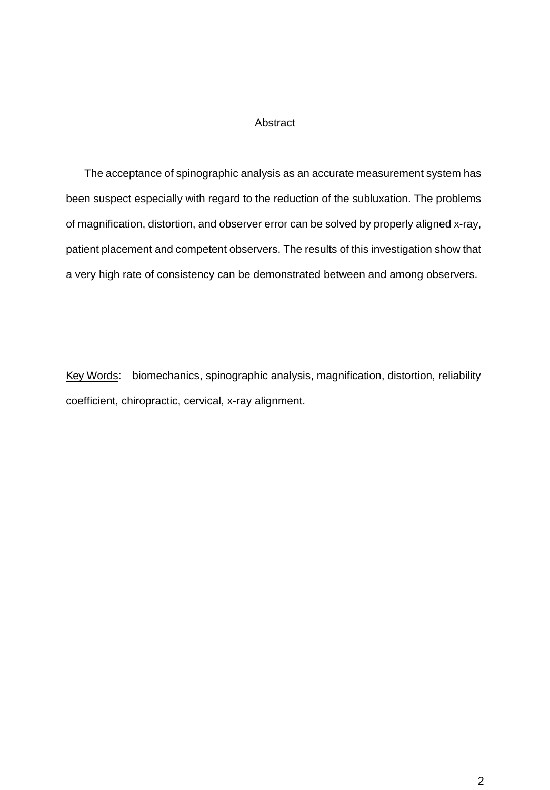## Abstract

 The acceptance of spinographic analysis as an accurate measurement system has been suspect especially with regard to the reduction of the subluxation. The problems of magnification, distortion, and observer error can be solved by properly aligned x-ray, patient placement and competent observers. The results of this investigation show that a very high rate of consistency can be demonstrated between and among observers.

Key Words: biomechanics, spinographic analysis, magnification, distortion, reliability coefficient, chiropractic, cervical, x-ray alignment.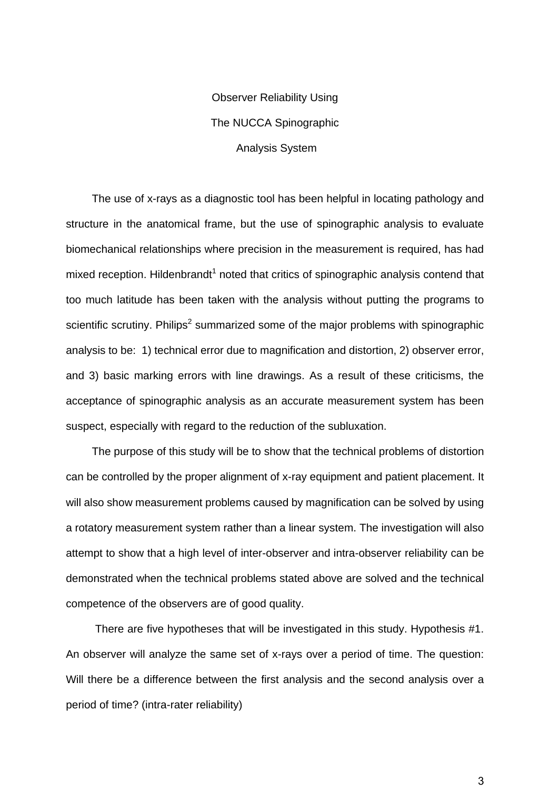Observer Reliability Using The NUCCA Spinographic Analysis System

The use of x-rays as a diagnostic tool has been helpful in locating pathology and structure in the anatomical frame, but the use of spinographic analysis to evaluate biomechanical relationships where precision in the measurement is required, has had mixed reception. Hildenbrandt<sup>1</sup> noted that critics of spinographic analysis contend that too much latitude has been taken with the analysis without putting the programs to scientific scrutiny. Philips<sup>2</sup> summarized some of the major problems with spinographic analysis to be: 1) technical error due to magnification and distortion, 2) observer error, and 3) basic marking errors with line drawings. As a result of these criticisms, the acceptance of spinographic analysis as an accurate measurement system has been suspect, especially with regard to the reduction of the subluxation.

The purpose of this study will be to show that the technical problems of distortion can be controlled by the proper alignment of x-ray equipment and patient placement. It will also show measurement problems caused by magnification can be solved by using a rotatory measurement system rather than a linear system. The investigation will also attempt to show that a high level of inter-observer and intra-observer reliability can be demonstrated when the technical problems stated above are solved and the technical competence of the observers are of good quality.

There are five hypotheses that will be investigated in this study. Hypothesis #1. An observer will analyze the same set of x-rays over a period of time. The question: Will there be a difference between the first analysis and the second analysis over a period of time? (intra-rater reliability)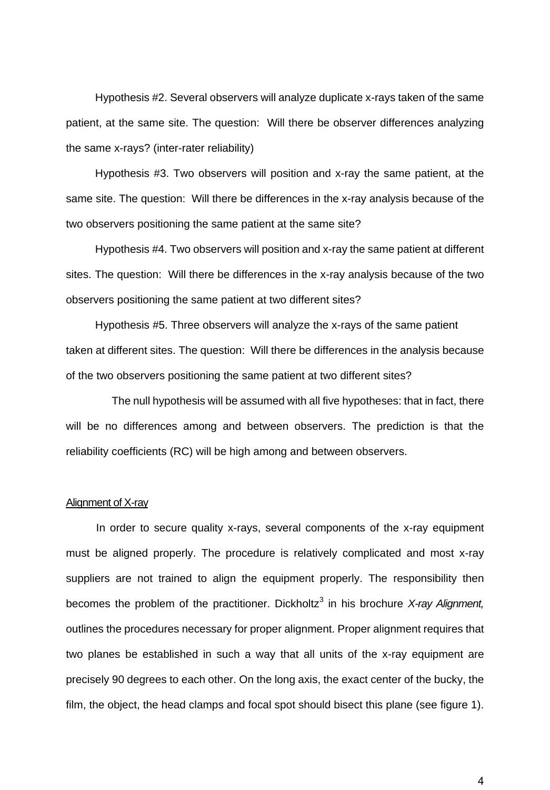Hypothesis #2. Several observers will analyze duplicate x-rays taken of the same patient, at the same site. The question: Will there be observer differences analyzing the same x-rays? (inter-rater reliability)

Hypothesis #3. Two observers will position and x-ray the same patient, at the same site. The question: Will there be differences in the x-ray analysis because of the two observers positioning the same patient at the same site?

Hypothesis #4. Two observers will position and x-ray the same patient at different sites. The question: Will there be differences in the x-ray analysis because of the two observers positioning the same patient at two different sites?

Hypothesis #5. Three observers will analyze the x-rays of the same patient taken at different sites. The question: Will there be differences in the analysis because of the two observers positioning the same patient at two different sites?

 The null hypothesis will be assumed with all five hypotheses: that in fact, there will be no differences among and between observers. The prediction is that the reliability coefficients (RC) will be high among and between observers.

## Alignment of X-ray

In order to secure quality x-rays, several components of the x-ray equipment must be aligned properly. The procedure is relatively complicated and most x-ray suppliers are not trained to align the equipment properly. The responsibility then becomes the problem of the practitioner. Dickholtz<sup>3</sup> in his brochure X-ray Alignment, outlines the procedures necessary for proper alignment. Proper alignment requires that two planes be established in such a way that all units of the x-ray equipment are precisely 90 degrees to each other. On the long axis, the exact center of the bucky, the film, the object, the head clamps and focal spot should bisect this plane (see figure 1).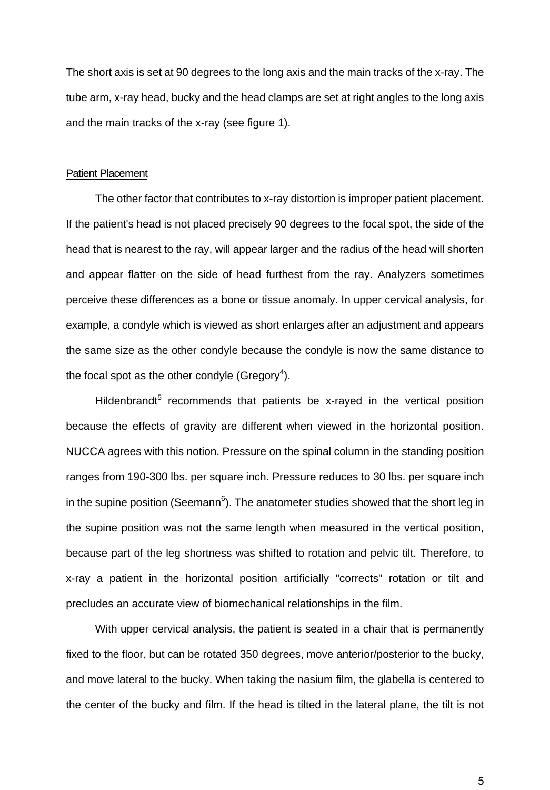The short axis is set at 90 degrees to the long axis and the main tracks of the x-ray. The tube arm, x-ray head, bucky and the head clamps are set at right angles to the long axis and the main tracks of the x-ray (see figure 1).

#### Patient Placement

The other factor that contributes to x-ray distortion is improper patient placement. If the patient's head is not placed precisely 90 degrees to the focal spot, the side of the head that is nearest to the ray, will appear larger and the radius of the head will shorten and appear flatter on the side of head furthest from the ray. Analyzers sometimes perceive these differences as a bone or tissue anomaly. In upper cervical analysis, for example, a condyle which is viewed as short enlarges after an adjustment and appears the same size as the other condyle because the condyle is now the same distance to the focal spot as the other condyle (Gregory<sup>4</sup>).

Hildenbrandt<sup>5</sup> recommends that patients be x-rayed in the vertical position because the effects of gravity are different when viewed in the horizontal position. NUCCA agrees with this notion. Pressure on the spinal column in the standing position ranges from 190-300 lbs. per square inch. Pressure reduces to 30 lbs. per square inch in the supine position (Seemann $6$ ). The anatometer studies showed that the short leg in the supine position was not the same length when measured in the vertical position, because part of the leg shortness was shifted to rotation and pelvic tilt. Therefore, to x-ray a patient in the horizontal position artificially "corrects" rotation or tilt and precludes an accurate view of biomechanical relationships in the film.

With upper cervical analysis, the patient is seated in a chair that is permanently fixed to the floor, but can be rotated 350 degrees, move anterior/posterior to the bucky, and move lateral to the bucky. When taking the nasium film, the glabella is centered to the center of the bucky and film. If the head is tilted in the lateral plane, the tilt is not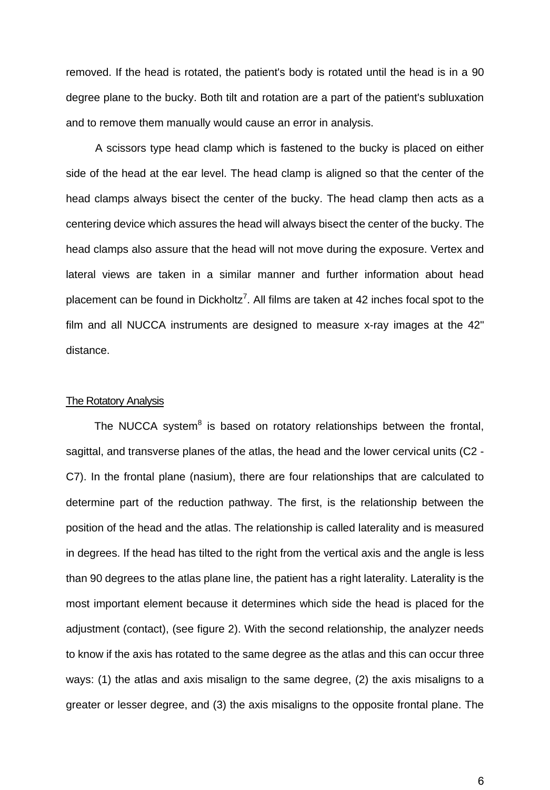removed. If the head is rotated, the patient's body is rotated until the head is in a 90 degree plane to the bucky. Both tilt and rotation are a part of the patient's subluxation and to remove them manually would cause an error in analysis.

A scissors type head clamp which is fastened to the bucky is placed on either side of the head at the ear level. The head clamp is aligned so that the center of the head clamps always bisect the center of the bucky. The head clamp then acts as a centering device which assures the head will always bisect the center of the bucky. The head clamps also assure that the head will not move during the exposure. Vertex and lateral views are taken in a similar manner and further information about head placement can be found in Dickholtz<sup>7</sup>. All films are taken at 42 inches focal spot to the film and all NUCCA instruments are designed to measure x-ray images at the 42" distance.

## The Rotatory Analysis

The NUCCA system<sup>8</sup> is based on rotatory relationships between the frontal, sagittal, and transverse planes of the atlas, the head and the lower cervical units (C2 - C7). In the frontal plane (nasium), there are four relationships that are calculated to determine part of the reduction pathway. The first, is the relationship between the position of the head and the atlas. The relationship is called laterality and is measured in degrees. If the head has tilted to the right from the vertical axis and the angle is less than 90 degrees to the atlas plane line, the patient has a right laterality. Laterality is the most important element because it determines which side the head is placed for the adjustment (contact), (see figure 2). With the second relationship, the analyzer needs to know if the axis has rotated to the same degree as the atlas and this can occur three ways: (1) the atlas and axis misalign to the same degree, (2) the axis misaligns to a greater or lesser degree, and (3) the axis misaligns to the opposite frontal plane. The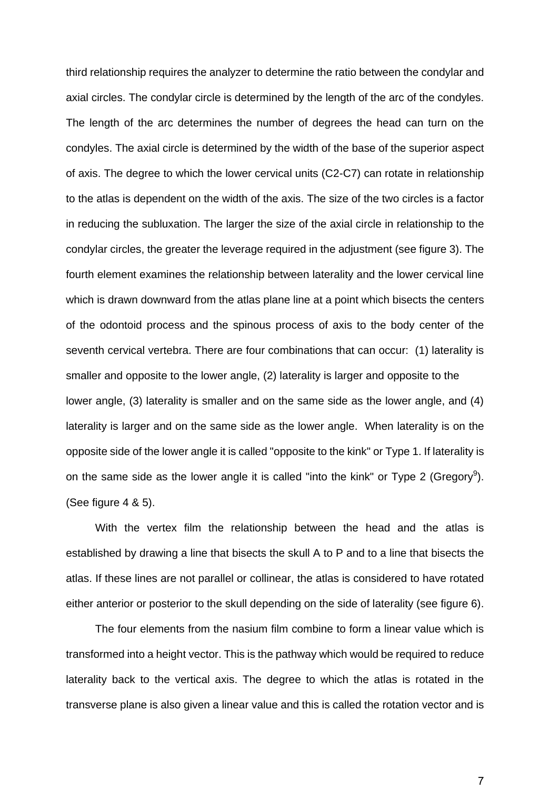third relationship requires the analyzer to determine the ratio between the condylar and axial circles. The condylar circle is determined by the length of the arc of the condyles. The length of the arc determines the number of degrees the head can turn on the condyles. The axial circle is determined by the width of the base of the superior aspect of axis. The degree to which the lower cervical units (C2-C7) can rotate in relationship to the atlas is dependent on the width of the axis. The size of the two circles is a factor in reducing the subluxation. The larger the size of the axial circle in relationship to the condylar circles, the greater the leverage required in the adjustment (see figure 3). The fourth element examines the relationship between laterality and the lower cervical line which is drawn downward from the atlas plane line at a point which bisects the centers of the odontoid process and the spinous process of axis to the body center of the seventh cervical vertebra. There are four combinations that can occur: (1) laterality is smaller and opposite to the lower angle, (2) laterality is larger and opposite to the lower angle, (3) laterality is smaller and on the same side as the lower angle, and (4) laterality is larger and on the same side as the lower angle. When laterality is on the opposite side of the lower angle it is called "opposite to the kink" or Type 1. If laterality is on the same side as the lower angle it is called "into the kink" or Type 2 (Gregory<sup>9</sup>). (See figure 4 & 5).

With the vertex film the relationship between the head and the atlas is established by drawing a line that bisects the skull A to P and to a line that bisects the atlas. If these lines are not parallel or collinear, the atlas is considered to have rotated either anterior or posterior to the skull depending on the side of laterality (see figure 6).

The four elements from the nasium film combine to form a linear value which is transformed into a height vector. This is the pathway which would be required to reduce laterality back to the vertical axis. The degree to which the atlas is rotated in the transverse plane is also given a linear value and this is called the rotation vector and is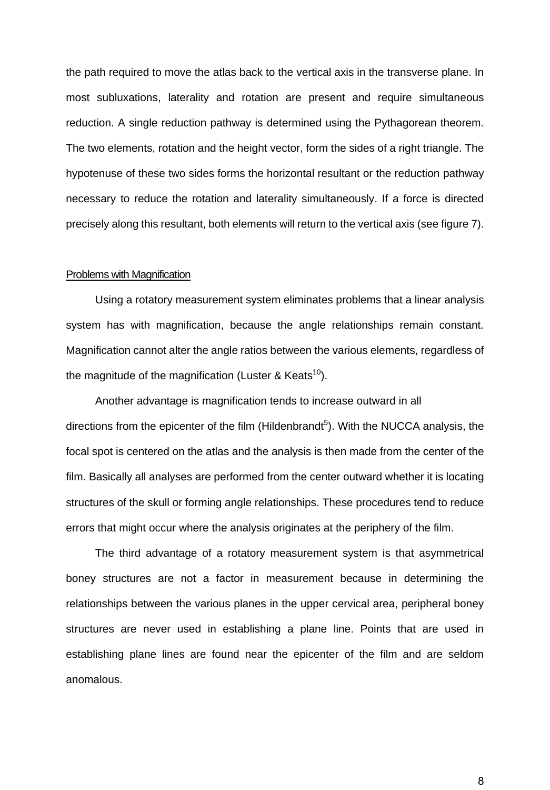the path required to move the atlas back to the vertical axis in the transverse plane. In most subluxations, laterality and rotation are present and require simultaneous reduction. A single reduction pathway is determined using the Pythagorean theorem. The two elements, rotation and the height vector, form the sides of a right triangle. The hypotenuse of these two sides forms the horizontal resultant or the reduction pathway necessary to reduce the rotation and laterality simultaneously. If a force is directed precisely along this resultant, both elements will return to the vertical axis (see figure 7).

## Problems with Magnification

Using a rotatory measurement system eliminates problems that a linear analysis system has with magnification, because the angle relationships remain constant. Magnification cannot alter the angle ratios between the various elements, regardless of the magnitude of the magnification (Luster & Keats<sup>10</sup>).

Another advantage is magnification tends to increase outward in all directions from the epicenter of the film (Hildenbrandt<sup>5</sup>). With the NUCCA analysis, the focal spot is centered on the atlas and the analysis is then made from the center of the film. Basically all analyses are performed from the center outward whether it is locating structures of the skull or forming angle relationships. These procedures tend to reduce errors that might occur where the analysis originates at the periphery of the film.

The third advantage of a rotatory measurement system is that asymmetrical boney structures are not a factor in measurement because in determining the relationships between the various planes in the upper cervical area, peripheral boney structures are never used in establishing a plane line. Points that are used in establishing plane lines are found near the epicenter of the film and are seldom anomalous.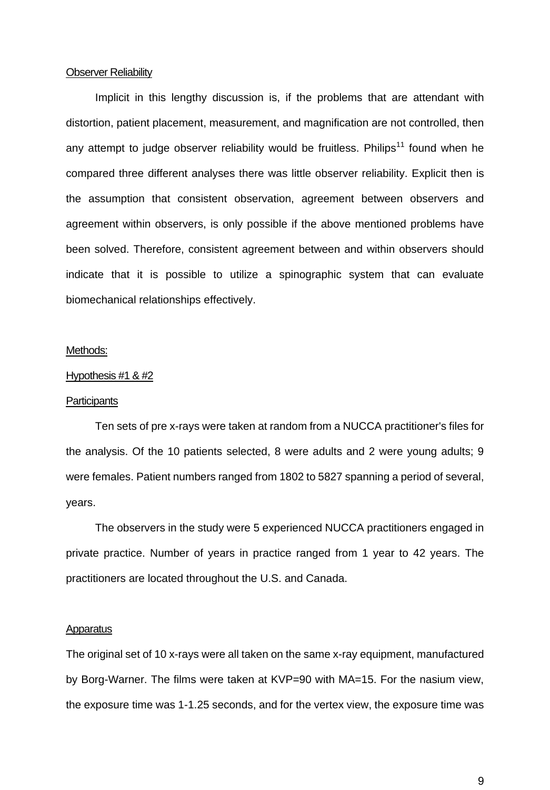### Observer Reliability

Implicit in this lengthy discussion is, if the problems that are attendant with distortion, patient placement, measurement, and magnification are not controlled, then any attempt to judge observer reliability would be fruitless. Philips<sup>11</sup> found when he compared three different analyses there was little observer reliability. Explicit then is the assumption that consistent observation, agreement between observers and agreement within observers, is only possible if the above mentioned problems have been solved. Therefore, consistent agreement between and within observers should indicate that it is possible to utilize a spinographic system that can evaluate biomechanical relationships effectively.

### Methods:

#### Hypothesis #1 & #2

### **Participants**

Ten sets of pre x-rays were taken at random from a NUCCA practitioner's files for the analysis. Of the 10 patients selected, 8 were adults and 2 were young adults; 9 were females. Patient numbers ranged from 1802 to 5827 spanning a period of several, years.

The observers in the study were 5 experienced NUCCA practitioners engaged in private practice. Number of years in practice ranged from 1 year to 42 years. The practitioners are located throughout the U.S. and Canada.

#### Apparatus

The original set of 10 x-rays were all taken on the same x-ray equipment, manufactured by Borg-Warner. The films were taken at KVP=90 with MA=15. For the nasium view, the exposure time was 1-1.25 seconds, and for the vertex view, the exposure time was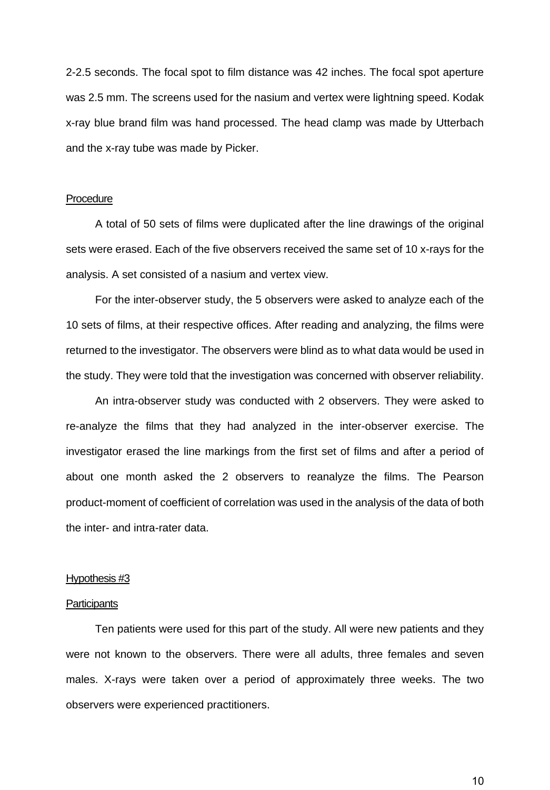2-2.5 seconds. The focal spot to film distance was 42 inches. The focal spot aperture was 2.5 mm. The screens used for the nasium and vertex were lightning speed. Kodak x-ray blue brand film was hand processed. The head clamp was made by Utterbach and the x-ray tube was made by Picker.

## **Procedure**

A total of 50 sets of films were duplicated after the line drawings of the original sets were erased. Each of the five observers received the same set of 10 x-rays for the analysis. A set consisted of a nasium and vertex view.

For the inter-observer study, the 5 observers were asked to analyze each of the 10 sets of films, at their respective offices. After reading and analyzing, the films were returned to the investigator. The observers were blind as to what data would be used in the study. They were told that the investigation was concerned with observer reliability.

An intra-observer study was conducted with 2 observers. They were asked to re-analyze the films that they had analyzed in the inter-observer exercise. The investigator erased the line markings from the first set of films and after a period of about one month asked the 2 observers to reanalyze the films. The Pearson product-moment of coefficient of correlation was used in the analysis of the data of both the inter- and intra-rater data.

#### Hypothesis #3

## **Participants**

Ten patients were used for this part of the study. All were new patients and they were not known to the observers. There were all adults, three females and seven males. X-rays were taken over a period of approximately three weeks. The two observers were experienced practitioners.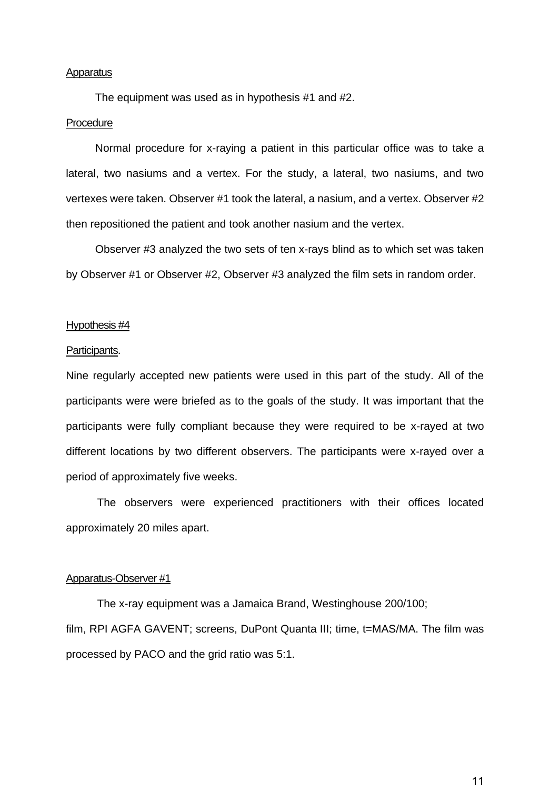### **Apparatus**

The equipment was used as in hypothesis #1 and #2.

#### **Procedure**

Normal procedure for x-raying a patient in this particular office was to take a lateral, two nasiums and a vertex. For the study, a lateral, two nasiums, and two vertexes were taken. Observer #1 took the lateral, a nasium, and a vertex. Observer #2 then repositioned the patient and took another nasium and the vertex.

Observer #3 analyzed the two sets of ten x-rays blind as to which set was taken by Observer #1 or Observer #2, Observer #3 analyzed the film sets in random order.

## Hypothesis #4

#### Participants.

Nine regularly accepted new patients were used in this part of the study. All of the participants were were briefed as to the goals of the study. It was important that the participants were fully compliant because they were required to be x-rayed at two different locations by two different observers. The participants were x-rayed over a period of approximately five weeks.

The observers were experienced practitioners with their offices located approximately 20 miles apart.

## Apparatus-Observer #1

The x-ray equipment was a Jamaica Brand, Westinghouse 200/100; film, RPI AGFA GAVENT; screens, DuPont Quanta III; time, t=MAS/MA. The film was processed by PACO and the grid ratio was 5:1.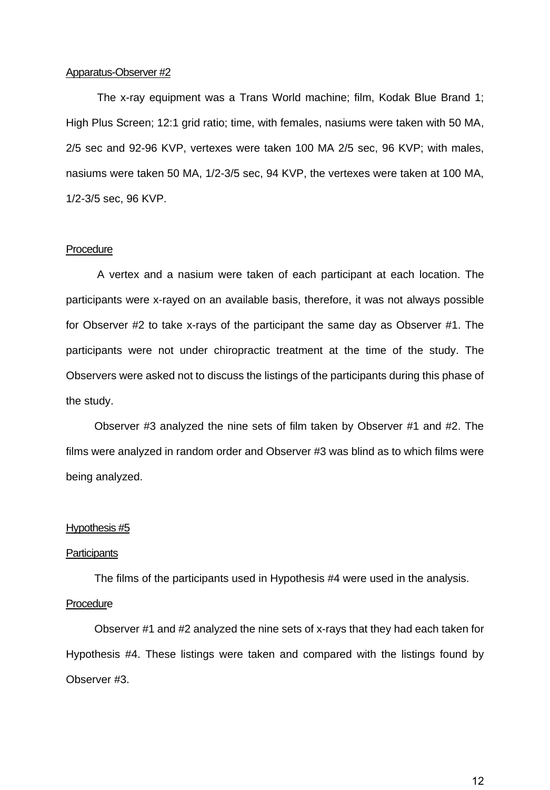## Apparatus-Observer #2

The x-ray equipment was a Trans World machine; film, Kodak Blue Brand 1; High Plus Screen; 12:1 grid ratio; time, with females, nasiums were taken with 50 MA, 2/5 sec and 92-96 KVP, vertexes were taken 100 MA 2/5 sec, 96 KVP; with males, nasiums were taken 50 MA, 1/2-3/5 sec, 94 KVP, the vertexes were taken at 100 MA, 1/2-3/5 sec, 96 KVP.

### **Procedure**

A vertex and a nasium were taken of each participant at each location. The participants were x-rayed on an available basis, therefore, it was not always possible for Observer #2 to take x-rays of the participant the same day as Observer #1. The participants were not under chiropractic treatment at the time of the study. The Observers were asked not to discuss the listings of the participants during this phase of the study.

Observer #3 analyzed the nine sets of film taken by Observer #1 and #2. The films were analyzed in random order and Observer #3 was blind as to which films were being analyzed.

## Hypothesis #5

#### **Participants**

The films of the participants used in Hypothesis #4 were used in the analysis.

#### **Procedure**

Observer #1 and #2 analyzed the nine sets of x-rays that they had each taken for Hypothesis #4. These listings were taken and compared with the listings found by Observer #3.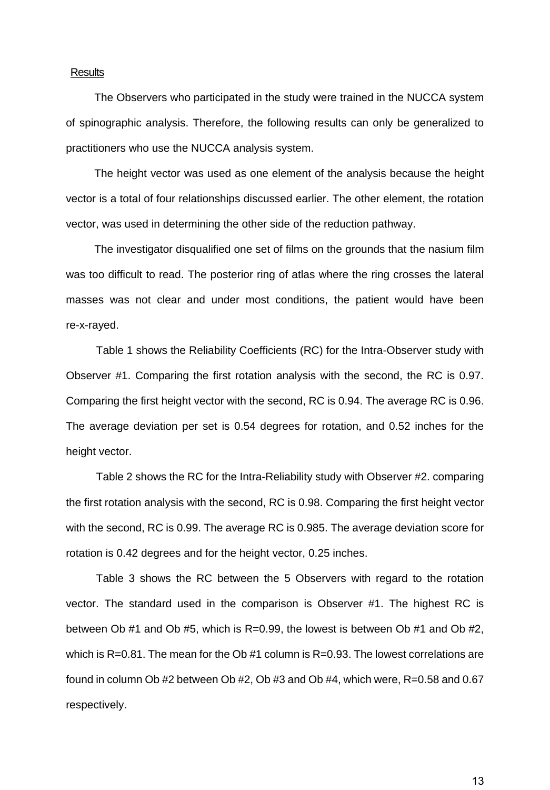## **Results**

The Observers who participated in the study were trained in the NUCCA system of spinographic analysis. Therefore, the following results can only be generalized to practitioners who use the NUCCA analysis system.

The height vector was used as one element of the analysis because the height vector is a total of four relationships discussed earlier. The other element, the rotation vector, was used in determining the other side of the reduction pathway.

The investigator disqualified one set of films on the grounds that the nasium film was too difficult to read. The posterior ring of atlas where the ring crosses the lateral masses was not clear and under most conditions, the patient would have been re-x-rayed.

Table 1 shows the Reliability Coefficients (RC) for the Intra-Observer study with Observer #1. Comparing the first rotation analysis with the second, the RC is 0.97. Comparing the first height vector with the second, RC is 0.94. The average RC is 0.96. The average deviation per set is 0.54 degrees for rotation, and 0.52 inches for the height vector.

Table 2 shows the RC for the Intra-Reliability study with Observer #2. comparing the first rotation analysis with the second, RC is 0.98. Comparing the first height vector with the second, RC is 0.99. The average RC is 0.985. The average deviation score for rotation is 0.42 degrees and for the height vector, 0.25 inches.

Table 3 shows the RC between the 5 Observers with regard to the rotation vector. The standard used in the comparison is Observer #1. The highest RC is between Ob  $#1$  and Ob  $#5$ , which is R=0.99, the lowest is between Ob  $#1$  and Ob  $#2$ , which is R=0.81. The mean for the Ob #1 column is R=0.93. The lowest correlations are found in column Ob #2 between Ob #2, Ob #3 and Ob #4, which were, R=0.58 and 0.67 respectively.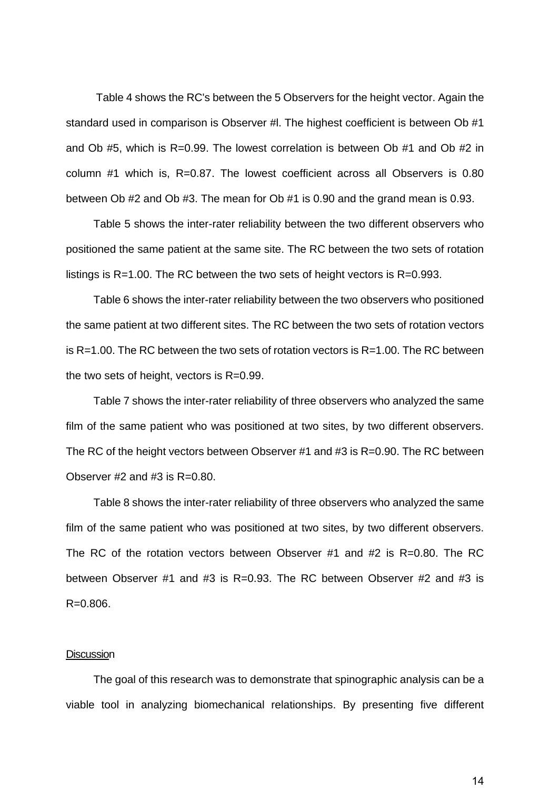Table 4 shows the RC's between the 5 Observers for the height vector. Again the standard used in comparison is Observer #l. The highest coefficient is between Ob #1 and Ob #5, which is R=0.99. The lowest correlation is between Ob #1 and Ob #2 in column #1 which is, R=0.87. The lowest coefficient across all Observers is 0.80 between Ob #2 and Ob #3. The mean for Ob #1 is 0.90 and the grand mean is 0.93.

Table 5 shows the inter-rater reliability between the two different observers who positioned the same patient at the same site. The RC between the two sets of rotation listings is R=1.00. The RC between the two sets of height vectors is R=0.993.

Table 6 shows the inter-rater reliability between the two observers who positioned the same patient at two different sites. The RC between the two sets of rotation vectors is R=1.00. The RC between the two sets of rotation vectors is R=1.00. The RC between the two sets of height, vectors is R=0.99.

Table 7 shows the inter-rater reliability of three observers who analyzed the same film of the same patient who was positioned at two sites, by two different observers. The RC of the height vectors between Observer #1 and #3 is R=0.90. The RC between Observer  $#2$  and  $#3$  is  $R=0.80$ .

Table 8 shows the inter-rater reliability of three observers who analyzed the same film of the same patient who was positioned at two sites, by two different observers. The RC of the rotation vectors between Observer #1 and #2 is R=0.80. The RC between Observer #1 and #3 is R=0.93. The RC between Observer #2 and #3 is R=0.806.

### **Discussion**

The goal of this research was to demonstrate that spinographic analysis can be a viable tool in analyzing biomechanical relationships. By presenting five different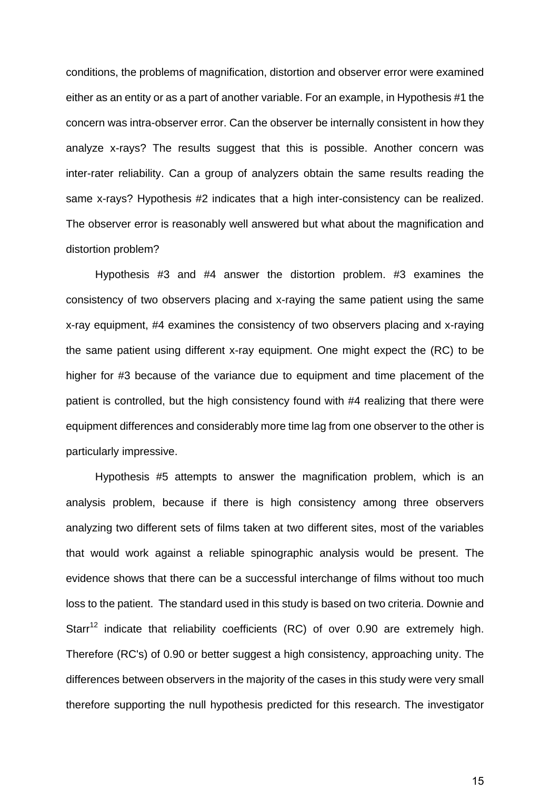conditions, the problems of magnification, distortion and observer error were examined either as an entity or as a part of another variable. For an example, in Hypothesis #1 the concern was intra-observer error. Can the observer be internally consistent in how they analyze x-rays? The results suggest that this is possible. Another concern was inter-rater reliability. Can a group of analyzers obtain the same results reading the same x-rays? Hypothesis #2 indicates that a high inter-consistency can be realized. The observer error is reasonably well answered but what about the magnification and distortion problem?

Hypothesis #3 and #4 answer the distortion problem. #3 examines the consistency of two observers placing and x-raying the same patient using the same x-ray equipment, #4 examines the consistency of two observers placing and x-raying the same patient using different x-ray equipment. One might expect the (RC) to be higher for #3 because of the variance due to equipment and time placement of the patient is controlled, but the high consistency found with #4 realizing that there were equipment differences and considerably more time lag from one observer to the other is particularly impressive.

Hypothesis #5 attempts to answer the magnification problem, which is an analysis problem, because if there is high consistency among three observers analyzing two different sets of films taken at two different sites, most of the variables that would work against a reliable spinographic analysis would be present. The evidence shows that there can be a successful interchange of films without too much loss to the patient. The standard used in this study is based on two criteria. Downie and Starr<sup>12</sup> indicate that reliability coefficients (RC) of over 0.90 are extremely high. Therefore (RC's) of 0.90 or better suggest a high consistency, approaching unity. The differences between observers in the majority of the cases in this study were very small therefore supporting the null hypothesis predicted for this research. The investigator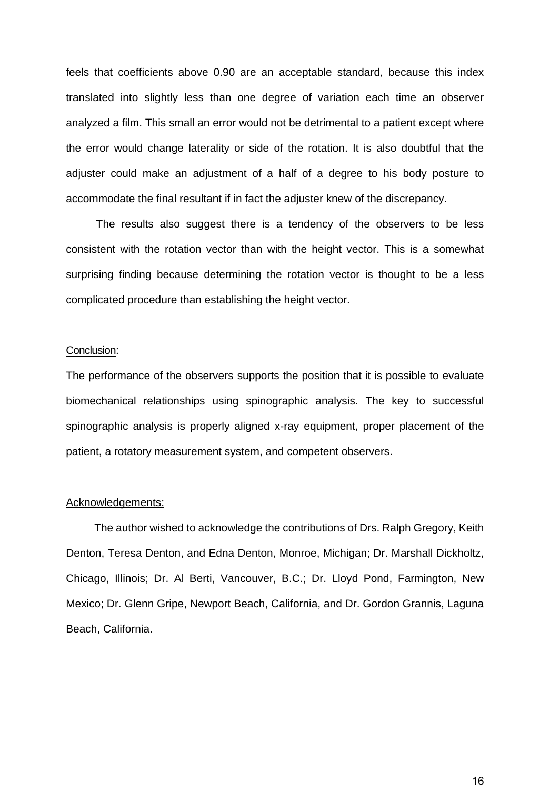feels that coefficients above 0.90 are an acceptable standard, because this index translated into slightly less than one degree of variation each time an observer analyzed a film. This small an error would not be detrimental to a patient except where the error would change laterality or side of the rotation. It is also doubtful that the adjuster could make an adjustment of a half of a degree to his body posture to accommodate the final resultant if in fact the adjuster knew of the discrepancy.

The results also suggest there is a tendency of the observers to be less consistent with the rotation vector than with the height vector. This is a somewhat surprising finding because determining the rotation vector is thought to be a less complicated procedure than establishing the height vector.

### Conclusion:

The performance of the observers supports the position that it is possible to evaluate biomechanical relationships using spinographic analysis. The key to successful spinographic analysis is properly aligned x-ray equipment, proper placement of the patient, a rotatory measurement system, and competent observers.

#### Acknowledgements:

The author wished to acknowledge the contributions of Drs. Ralph Gregory, Keith Denton, Teresa Denton, and Edna Denton, Monroe, Michigan; Dr. Marshall Dickholtz, Chicago, Illinois; Dr. Al Berti, Vancouver, B.C.; Dr. Lloyd Pond, Farmington, New Mexico; Dr. Glenn Gripe, Newport Beach, California, and Dr. Gordon Grannis, Laguna Beach, California.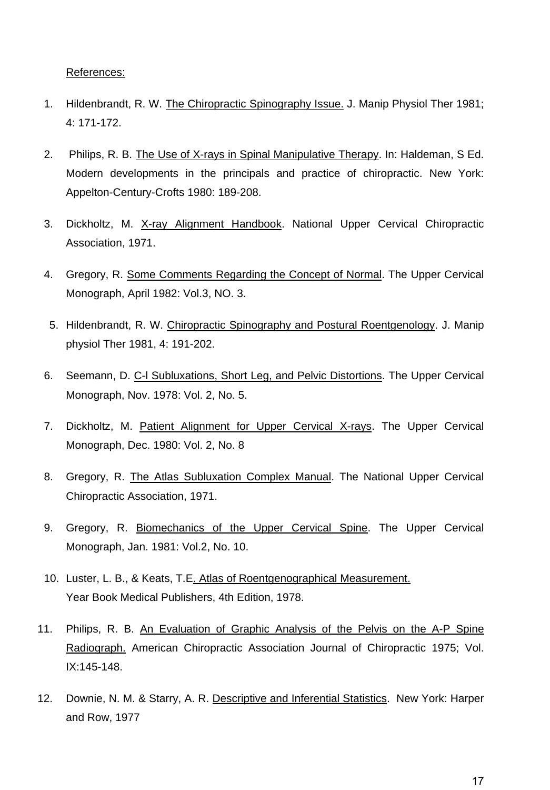References:

- 1. Hildenbrandt, R. W. The Chiropractic Spinography Issue. J. Manip Physiol Ther 1981; 4: 171-172.
- 2. Philips, R. B. The Use of X-rays in Spinal Manipulative Therapy. In: Haldeman, S Ed. Modern developments in the principals and practice of chiropractic. New York: Appelton-Century-Crofts 1980: 189-208.
- 3. Dickholtz, M. X-ray Alignment Handbook. National Upper Cervical Chiropractic Association, 1971.
- 4. Gregory, R. Some Comments Regarding the Concept of Normal. The Upper Cervical Monograph, April 1982: Vol.3, NO. 3.
- 5. Hildenbrandt, R. W. Chiropractic Spinography and Postural Roentgenology. J. Manip physiol Ther 1981, 4: 191-202.
- 6. Seemann, D. C-l Subluxations, Short Leg, and Pelvic Distortions. The Upper Cervical Monograph, Nov. 1978: Vol. 2, No. 5.
- 7. Dickholtz, M. Patient Alignment for Upper Cervical X-rays. The Upper Cervical Monograph, Dec. 1980: Vol. 2, No. 8
- 8. Gregory, R. The Atlas Subluxation Complex Manual. The National Upper Cervical Chiropractic Association, 1971.
- 9. Gregory, R. Biomechanics of the Upper Cervical Spine. The Upper Cervical Monograph, Jan. 1981: Vol.2, No. 10.
- 10. Luster, L. B., & Keats, T.E. Atlas of Roentgenographical Measurement. Year Book Medical Publishers, 4th Edition, 1978.
- 11. Philips, R. B. An Evaluation of Graphic Analysis of the Pelvis on the A-P Spine Radiograph. American Chiropractic Association Journal of Chiropractic 1975; Vol. IX:145-148.
- 12. Downie, N. M. & Starry, A. R. Descriptive and Inferential Statistics. New York: Harper and Row, 1977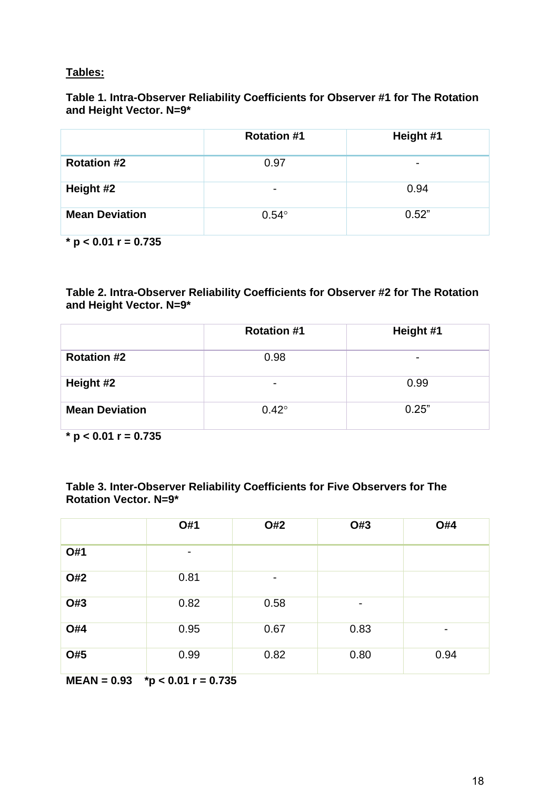## **Tables:**

## **Table 1. Intra-Observer Reliability Coefficients for Observer #1 for The Rotation and Height Vector. N=9\***

|                        | <b>Rotation #1</b>       | Height #1 |
|------------------------|--------------------------|-----------|
| <b>Rotation #2</b>     | 0.97                     |           |
| Height #2              | $\overline{\phantom{0}}$ | 0.94      |
| <b>Mean Deviation</b>  | $0.54^\circ$             | 0.52"     |
| * $p < 0.01$ r = 0.735 |                          |           |

**Table 2. Intra-Observer Reliability Coefficients for Observer #2 for The Rotation and Height Vector. N=9\***

|                       | <b>Rotation #1</b> | Height #1 |
|-----------------------|--------------------|-----------|
| <b>Rotation #2</b>    | 0.98               |           |
| Height #2             | -                  | 0.99      |
| <b>Mean Deviation</b> | $0.42^\circ$       | 0.25"     |

**\* p < 0.01 r = 0.735**

| Table 3. Inter-Observer Reliability Coefficients for Five Observers for The |  |
|-----------------------------------------------------------------------------|--|
| <b>Rotation Vector. N=9*</b>                                                |  |

|     | O#1  | O#2  | O#3            | <b>O#4</b> |
|-----|------|------|----------------|------------|
| O#1 | -    |      |                |            |
| O#2 | 0.81 | -    |                |            |
| O#3 | 0.82 | 0.58 | $\blacksquare$ |            |
| O#4 | 0.95 | 0.67 | 0.83           | -          |
| O#5 | 0.99 | 0.82 | 0.80           | 0.94       |

**MEAN = 0.93 \*p < 0.01 r = 0.735**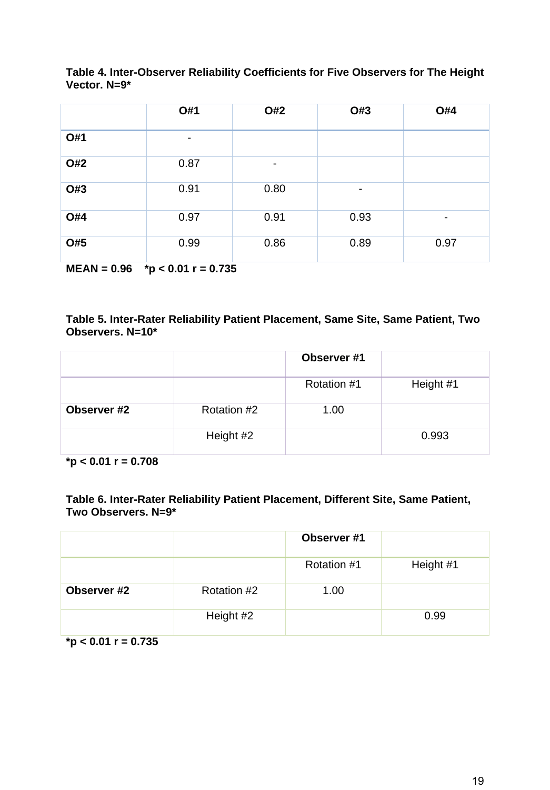|     | O#1  | O#2                      | O#3            | <b>O#4</b> |
|-----|------|--------------------------|----------------|------------|
| O#1 |      |                          |                |            |
| O#2 | 0.87 | $\overline{\phantom{a}}$ |                |            |
| O#3 | 0.91 | 0.80                     | $\blacksquare$ |            |
| O#4 | 0.97 | 0.91                     | 0.93           |            |
| O#5 | 0.99 | 0.86                     | 0.89           | 0.97       |

**Table 4. Inter-Observer Reliability Coefficients for Five Observers for The Height Vector. N=9\***

**MEAN = 0.96 \*p < 0.01 r = 0.735**

## **Table 5. Inter-Rater Reliability Patient Placement, Same Site, Same Patient, Two Observers. N=10\***

|             |             | Observer #1 |           |
|-------------|-------------|-------------|-----------|
|             |             | Rotation #1 | Height #1 |
| Observer #2 | Rotation #2 | 1.00        |           |
|             | Height #2   |             | 0.993     |

**\*p < 0.01 r = 0.708**

## **Table 6. Inter-Rater Reliability Patient Placement, Different Site, Same Patient, Two Observers. N=9\***

|             |             | Observer #1 |           |
|-------------|-------------|-------------|-----------|
|             |             | Rotation #1 | Height #1 |
| Observer #2 | Rotation #2 | 1.00        |           |
|             | Height #2   |             | 0.99      |

**\*p < 0.01 r = 0.735**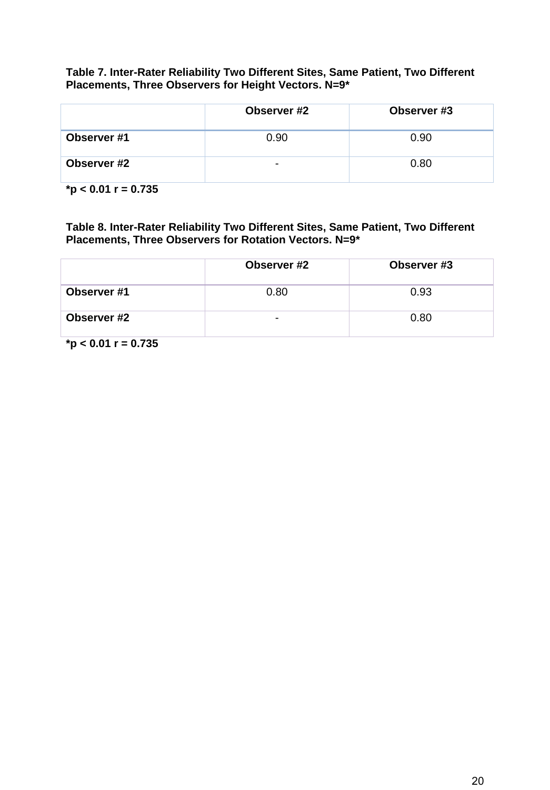**Table 7. Inter-Rater Reliability Two Different Sites, Same Patient, Two Different Placements, Three Observers for Height Vectors. N=9\***

|             | Observer #2              | Observer #3 |
|-------------|--------------------------|-------------|
| Observer #1 | 0.90                     | 0.90        |
| Observer #2 | $\overline{\phantom{0}}$ | 0.80        |

**\*p < 0.01 r = 0.735**

**Table 8. Inter-Rater Reliability Two Different Sites, Same Patient, Two Different Placements, Three Observers for Rotation Vectors. N=9\***

|             | Observer #2 | Observer #3 |
|-------------|-------------|-------------|
| Observer #1 | 0.80        | 0.93        |
| Observer #2 |             | 0.80        |

**\*p < 0.01 r = 0.735**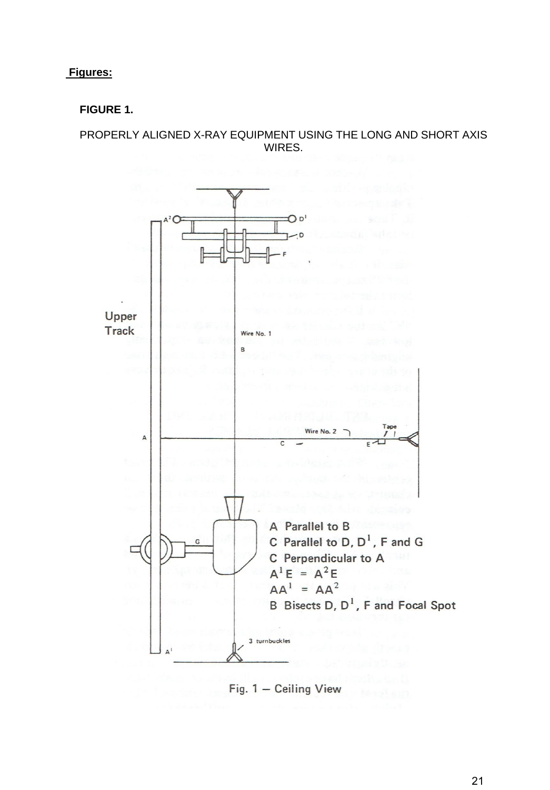**Figures:**

# **FIGURE 1.**

PROPERLY ALIGNED X-RAY EQUIPMENT USING THE LONG AND SHORT AXIS WIRES.



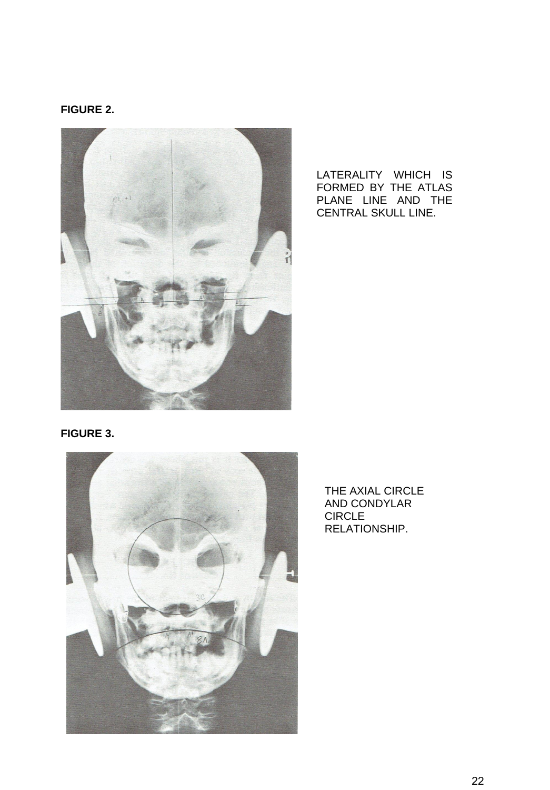## **FIGURE 2.**



LATERALITY WHICH IS FORMED BY THE ATLAS PLANE LINE AND THE CENTRAL SKULL LINE.

## **FIGURE 3.**



THE AXIAL CIRCLE AND CONDYLAR CIRCLE RELATIONSHIP.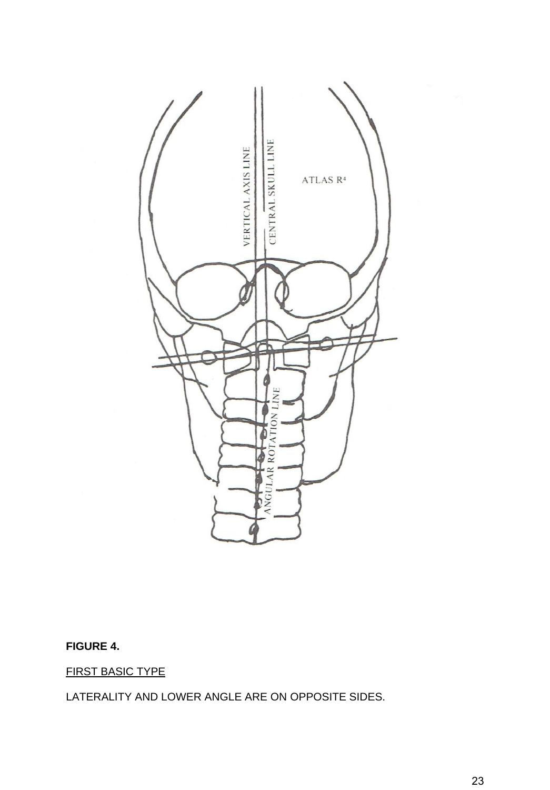

# **FIGURE 4.**

FIRST BASIC TYPE

LATERALITY AND LOWER ANGLE ARE ON OPPOSITE SIDES.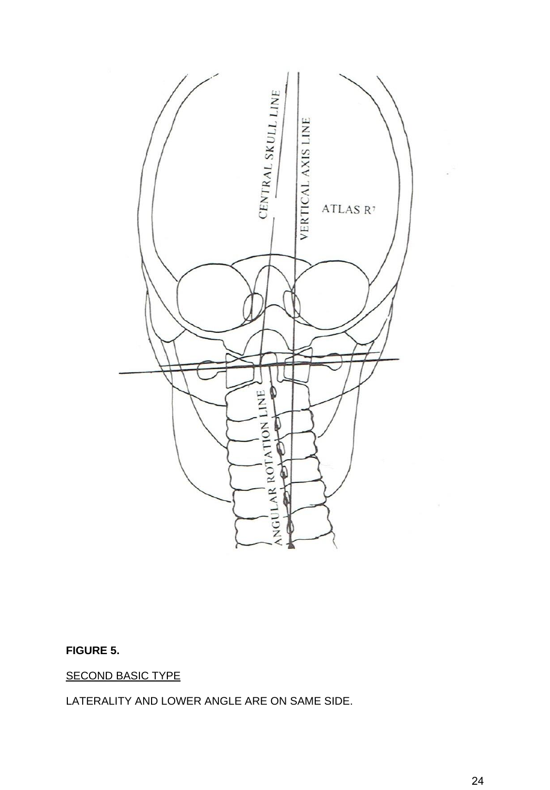

# **FIGURE 5.**

SECOND BASIC TYPE

LATERALITY AND LOWER ANGLE ARE ON SAME SIDE.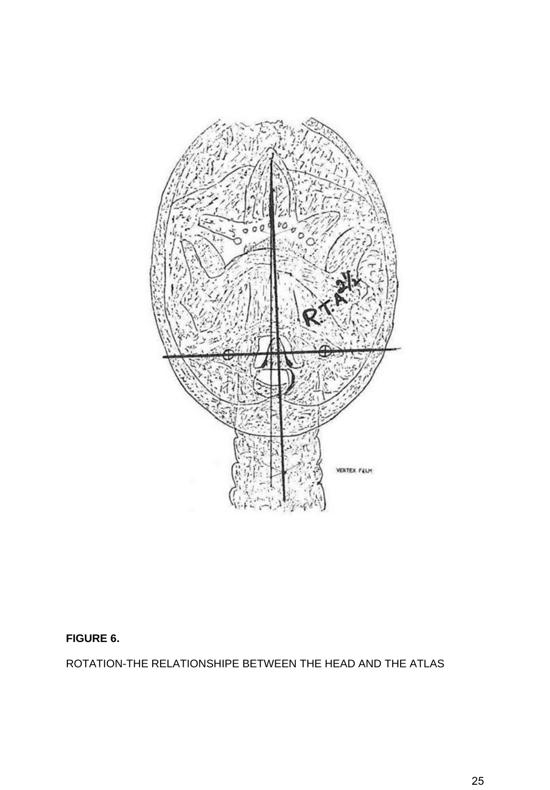

# **FIGURE 6.**

ROTATION-THE RELATIONSHIPE BETWEEN THE HEAD AND THE ATLAS